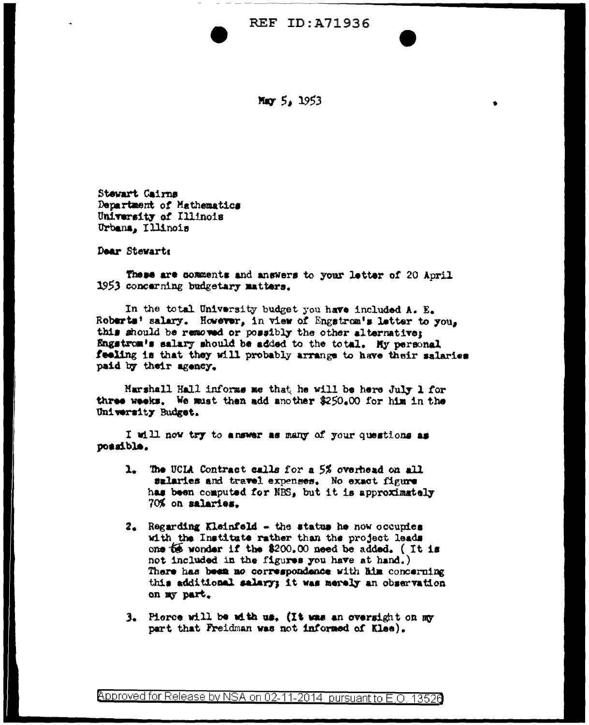**REF ID: A71936** 

May 5, 1953

Stawart Cairns Department of Mathematics University of Illinois Urbana, Illinois

Dear Stewarts

These are comments and answers to your letter of 20 April 1953 concerning budgetary matters.

In the total University budget you have included A. E. Roberts' salary. However, in view of Engstrom's letter to you. this should be removed or possibly the other alternative: Engstrom's salary should be added to the total. My personal feeling is that they will probably arrange to have their salaries paid by their agency.

Marshall Hall informs me that he will be here July 1 for three weeks. We must then add another \$250.00 for him in the University Budget.

I will now try to answer as many of your questions as possible.

- 1. The UCIA Contract calls for a 5% overhead on all salaries and travel expenses. No exact figure has been computed for NBS, but it is approximately 70% on salaries.
- $2.$  Regarding Kleinfeld  $\sim$  the status he now occupies with the Institute rather than the project leads one to wonder if the \$200.00 need be added. (It is not included in the figures you have at hand.) There has been no correspondence with him concerning this additional salary; it was merely an observation on my part.
- 3. Pierce will be with us. (It was an oversight on my part that Freidman was not informed of Klee).

Approved for Release by NSA on 02-11-2014 pursuant to E.O. 13526